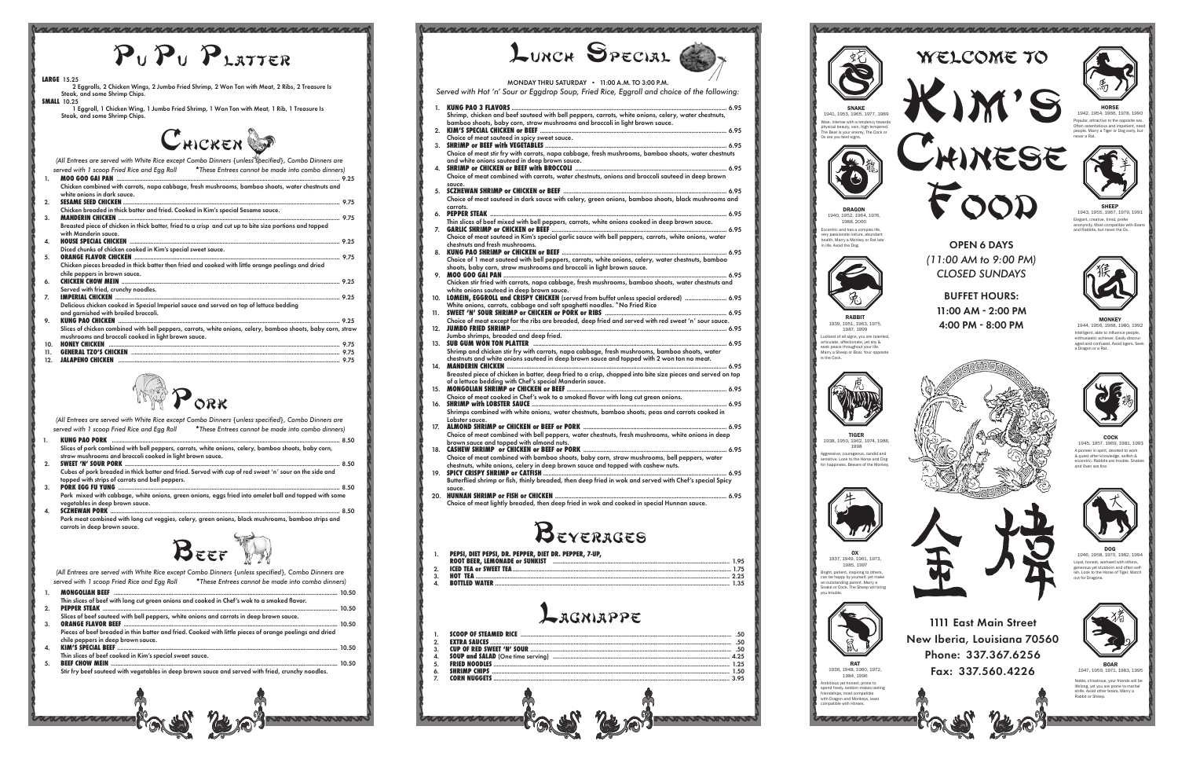





























| $P_{U}P_{U}P_{L\text{ATTER}}$                                                                                                                                                                                                                                                                                                            | LUNCH SPECIAL                                                                                                                                                                                                                                                                                                                                                | WELCOME TO                                                                                                                                                                                                                                                                                                                                                                        |
|------------------------------------------------------------------------------------------------------------------------------------------------------------------------------------------------------------------------------------------------------------------------------------------------------------------------------------------|--------------------------------------------------------------------------------------------------------------------------------------------------------------------------------------------------------------------------------------------------------------------------------------------------------------------------------------------------------------|-----------------------------------------------------------------------------------------------------------------------------------------------------------------------------------------------------------------------------------------------------------------------------------------------------------------------------------------------------------------------------------|
| <b>LARGE 15.25</b><br>2 Eggrolls, 2 Chicken Wings, 2 Jumbo Fried Shrimp, 2 Won Ton with Meat, 2 Ribs, 2 Treasure Is<br>Steak, and some Shrimp Chips.<br><b>SMALL 10.25</b>                                                                                                                                                               | MONDAY THRU SATURDAY . 11:00 A.M. TO 3:00 P.M.<br>Served with Hot 'n' Sour or Eggdrop Soup, Fried Rice, Eggroll and choice of the following:<br><b>KUNG PAO 3 FLAVORS </b><br>. 6.95                                                                                                                                                                         | KIM'S<br><b>SNAKE</b>                                                                                                                                                                                                                                                                                                                                                             |
| 1 Eggroll, 1 Chicken Wing, 1 Jumbo Fried Shrimp, 1 Won Ton with Meat, 1 Rib, 1 Treasure Is<br>Steak, and some Shrimp Chips.                                                                                                                                                                                                              | Shrimp, chicken and beef sauteed with bell peppers, carrots, white onions, celery, water chestnuts,<br>bamboo shoots, baby corn, straw mushrooms and broccoli in light brown sauce.<br><b>KIM'S SPECIAL CHICKEN or BEEF.</b><br>6.95<br>Choice of meat sauteed in spicy sweet sauce.                                                                         | 1941, 1953, 1965, 1977, 1989<br>Wise, intense with a tendency towards<br>physical beauty, vain, high tempered.<br>people. Marry a Tiger or Dog early, but<br>The Bear is your enemy, The Cock or<br>Ox are you best signs.                                                                                                                                                        |
| CHICKEN<br>(All Entrees are served with White Rice except Combo Dinners {unless specified}, Combo Dinners are                                                                                                                                                                                                                            | <b>SHRIMP or BEEF with VEGETABLES</b><br>. 6.95<br>Choice of meat stir fry with carrots, napa cabbage, fresh mushrooms, bamboo shoots, water chestnuts<br>and white onions sauteed in deep brown sauce.<br>6.95                                                                                                                                              | CHINESE                                                                                                                                                                                                                                                                                                                                                                           |
| served with 1 scoop Fried Rice and Egg Roll *These Entrees cannot be made into combo dinners)<br><b>MOO GOO GAI PAN</b><br>.9.25<br>Chicken combined with carrots, napa cabbage, fresh mushrooms, bamboo shoots, water chestnuts and<br>white onions in dark sauce.                                                                      | Choice of meat combined with carrots, water chestnuts, onions and broccoli sauteed in deep brown<br>sauce.<br><b>SCZHEWAN SHRIMP or CHICKEN or BEEF </b><br>Choice of meat sauteed in dark sauce with celery, green onions, bamboo shoots, black mushrooms and                                                                                               |                                                                                                                                                                                                                                                                                                                                                                                   |
| <b>SESAME SEED CHICKEN.</b><br>9.75<br>Chicken breaded in thick batter and fried. Cooked in Kim's special Sesame sauce.<br><b>MANDERIN CHICKEN</b><br>9.75<br>Breasted piece of chicken in thick batter, fried to a crisp and cut up to bite size portions and topped                                                                    | carrots.<br><b>PEPPER STEAK</b><br>6.95<br>Thin slices of beef mixed with bell peppers, carrots, white onions cooked in deep brown sauce.<br><b>GARLIC SHRIMP or CHICKEN or BEEF</b><br>6.95                                                                                                                                                                 | <b>DRAGON</b><br>1940, 1952, 1964, 1976,<br>1988, 2000<br>mymity. Most compatible with Boars<br>Eccentric and has a complex life                                                                                                                                                                                                                                                  |
| with Manderin sauce.<br><b>HOUSE SPECIAL CHICKEN</b><br>9.25<br>Diced chunks of chicken cooked in Kim's special sweet sauce.<br><b>ORANGE FLAVOR CHICKEN</b><br>9.75<br>Chicken pieces breaded in thick batter then fried and cooked with little orange peelings and dried                                                               | Choice of meat sauteed in Kim's special garlic sauce with bell peppers, carrots, white onions, water<br>chestnuts and fresh mushrooms.<br><b>KUNG PAO SHRIMP or CHICKEN or BEEF </b><br>. 6.95<br>Choice of 1 meat sauteed with bell peppers, carrots, white onions, celery, water chestnuts, bamboo                                                         | very passionate nature, abundant<br>health, Marry a Monkey or Rat late<br><b>OPEN 6 DAYS</b><br>in life, Avoid the Dog.<br>(11:00 AM to 9:00 PM)                                                                                                                                                                                                                                  |
| chile peppers in brown sauce.<br><b>CHICKEN CHOW MEIN</b><br>9.25<br>Served with fried, crunchy noodles.<br><b>IMPERIAL CHICKEN</b><br>9.25                                                                                                                                                                                              | shoots, baby corn, straw mushrooms and broccoli in light brown sauce.<br><b>MOO GOO GAI PAN.</b><br>. 6.95<br>Chicken stir fried with carrots, napa cabbage, fresh mushrooms, bamboo shoots, water chestnuts and<br>white onions sauteed in deep brown sauce.<br>LOMEIN, EGGROLL and CRISPY CHICKEN (served from buffet unless special ordered)  6.95<br>10. | <b>CLOSED SUNDAYS</b><br><b>BUFFET HOURS:</b>                                                                                                                                                                                                                                                                                                                                     |
| Delicious chicken cooked in Special Imperial sauce and served on top of lettuce bedding<br>and garnished with broiled broccoli.<br><b>KUNG PAO CHICKEN</b><br>9.25<br>Slices of chicken combined with bell peppers, carrots, white onions, celery, bamboo shoots, baby corn, straw                                                       | Choice of meat except for the ribs are breaded, deep fried and served with red sweet 'n' sour sauce.<br>12. JUMBO FRIED SHRIMP.                                                                                                                                                                                                                              | 11:00 AM - 2:00 PM<br><b>RABBIT</b><br><b>MONKEY</b><br>1939, 1951, 1963, 1975,<br>4:00 PM - 8:00 PM<br>1944, 1956, 1968, 1980, 1992<br>1987.1999                                                                                                                                                                                                                                 |
| mushrooms and broccoli cooked in light brown sauce.<br>10.<br><b>JALAPENO CHICKEN</b>                                                                                                                                                                                                                                                    | Jumbo shrimps, breaded and deep fried.<br>13. SUB GUM WON TON PLATTER<br>. 6.95<br>Shrimp and chicken stir fry with carrots, napa cabbage, fresh mushrooms, bamboo shoots, water<br>chestnuts and white onions sauteed in deep brown sauce and topped with 2 won ton no meat.                                                                                | telligent, able to influence people<br>Luckiest of all signs, you are talented,<br>enthusiastic achiever. Easily discour-<br>articulate, affectionate, vet shy &<br>aged and confused. Avoid tigers. Seek<br>seek peace throughout your life.<br>a Dragon or a Rat.<br>Marry a Sheep or Boar. Your opposite<br>is the Cock                                                        |
|                                                                                                                                                                                                                                                                                                                                          | <b>MANDERIN CHICKEN</b><br>. 6.95<br>Breasted piece of chicken in batter, deep fried to a crisp, chopped into bite size pieces and served on top<br>of a lettuce bedding with Chef's special Manderin sauce.<br>15. MONGOLIAN SHRIMP or CHICKEN or BEEF<br>. 6.95<br>Choice of meat cooked in Chef's wok to a smoked flavor with long cut green onions.      |                                                                                                                                                                                                                                                                                                                                                                                   |
| (All Entrees are served with White Rice except Combo Dinners {unless specified}, Combo Dinners are<br>served with 1 scoop Fried Rice and Egg Roll *These Entrees cannot be made into combo dinners)                                                                                                                                      | 16. SHRIMP with LOBSTER SAUCE.<br>6.95<br>Shrimps combined with white onions, water chestnuts, bamboo shoots, peas and carrots cooked in<br>Lobster sauce.<br>…… 6.95                                                                                                                                                                                        |                                                                                                                                                                                                                                                                                                                                                                                   |
| 8.50<br>KUNG PAO PORK<br>Slices of pork combined with bell peppers, carrots, white onions, celery, bamboo shoots, baby corn,<br>straw mushrooms and broccoli cooked in light brown sauce.<br><b>SWEET 'N' SOUR PORK</b><br>8.50                                                                                                          | Choice of meat combined with bell peppers, water chestnuts, fresh mushrooms, white onions in deep<br>brown sauce and topped with almond nuts.<br>. 6.95<br>Choice of meat combined with bamboo shoots, baby corn, straw mushrooms, bell peppers, water<br>chestnuts, white onions, celery in deep brown sauce and topped with cashew nuts.                   | <b>TIGER</b><br>1938, 1950, 1962, 1974, 1986,<br>1945, 1957, 1969, 1981, 1993<br>& quest after knowledge, selfish &<br>sensitive. Look to the Horse and Dog<br>eccentric. Rabbits are trouble. Snakes<br>or happiness. Beware of the Monkey.<br>and Oxen are fine.                                                                                                                |
| Cubes of pork breaded in thick batter and fried. Served with cup of red sweet 'n' sour on the side and<br>topped with strips of carrots and bell peppers.<br><b>PORK EGG FU YUNG</b><br>.8.50<br>Pork mixed with cabbage, white onions, green onions, eggs fried into omelet ball and topped with some                                   | 19. SPICY CRISPY SHRIMP or CATFISH<br>6.95<br>Butterflied shrimp or fish, thinly breaded, then deep fried in wok and served with Chef's special Spicy<br>20. HUNNAN SHRIMP or FISH or CHICKEN<br>.6.95                                                                                                                                                       |                                                                                                                                                                                                                                                                                                                                                                                   |
| vegetables in deep brown squce.<br><b>SCZHEWAN PORK</b><br>8.50<br>Pork meat combined with long cut veggies, celery, green onions, black mushrooms, bamboo strips and<br>carrots in deep brown sauce.                                                                                                                                    | Choice of meat lightly breaded, then deep fried in wok and cooked in special Hunnan sauce.                                                                                                                                                                                                                                                                   |                                                                                                                                                                                                                                                                                                                                                                                   |
|                                                                                                                                                                                                                                                                                                                                          | BEYERAGES<br>PEPSI, DIET PEPSI, DR. PEPPER, DIET DR. PEPPER, 7-UP,<br><b>ROOT BEER, LEMONADE or SUNKIST </b><br>1.95                                                                                                                                                                                                                                         | DOG<br>0X<br>1946, 1958, 1970, 1982, 1994<br>1937, 1949, 1961, 1973,<br>Loyal, honest, workwell with others,<br>1985, 1997                                                                                                                                                                                                                                                        |
| (All Entrees are served with White Rice except Combo Dinners {unless specified}, Combo Dinners are<br>*These Entrees cannot be made into combo dinners)<br>served with 1 scoop Fried Rice and Egg Roll<br><b>MONGOLIAN BEEF</b><br>.10.50<br>Thin slices of beef with long cut green onions and cooked in Chef's wok to a smoked flavor. | . 1.75<br><b>HOT TEA</b><br>2.25<br><b>BOTTLED WATER</b><br>1.35                                                                                                                                                                                                                                                                                             | generous yet stubborn and often self-<br>Bright, patient, inspiring to others,<br>ish. Look to the Horse of Tiger. Watch<br>can be happy by yourself, yet make<br>out for Dragons<br>an outstanding parent. Marry a<br>Snake or Cock. The Sheep will bring<br>vou trouble                                                                                                         |
| <b>PEPPER STEAK</b><br>10.50<br>Slices of beef sauteed with bell peppers, white onions and carrots in deep brown sauce.<br><b>ORANGE FLAVOR BEEF</b><br>. 10.50<br>Pieces of beef breaded in thin batter and fried. Cooked with little pieces of orange peelings and dried                                                               | Lagniappe                                                                                                                                                                                                                                                                                                                                                    | <b>1111 East Main Street</b>                                                                                                                                                                                                                                                                                                                                                      |
| chile peppers in deep brown sauce.<br><b>KIM'S SPECIAL BEEF</b><br>10.50<br>Thin slices of beef cooked in Kim's special sweet sauce.<br><b>BEEF CHOW MEIN</b><br>10.50                                                                                                                                                                   | <b>SCOOP OF STEAMED RICE</b><br><b>EXTRA SAUCES.</b><br>.50<br><b>CUP OF RED SWEET 'N' SOUR.</b><br>.50<br>4.25<br><b>FRIED NOODLES</b><br>1.25                                                                                                                                                                                                              | New Iberia, Louisiana 70560<br>Phone: 337.367.6256<br><b>RAT</b><br><b>BOAR</b>                                                                                                                                                                                                                                                                                                   |
| Stir fry beef sauteed with vegetables in deep brown sauce and served with fried, crunchy noodles.                                                                                                                                                                                                                                        | <b>SHRIMP CHIPS</b><br>1.50<br><b>CORN NUGGETS</b><br>3.95                                                                                                                                                                                                                                                                                                   | 1936, 1948, 1960, 1972.<br>Fax: 337.560.4226<br>1947, 1959, 1971, 1983, 1995<br>1984.1996<br>Noble, chivalrous, your friends will be<br>Ambitious yet honest, prone to<br>lifelong, yet you are prone to marital<br>spend freely, seldom makes lasting<br>strife. Avoid other boars. Marry a<br>friendships, most compatible<br>Rabbit or Sheep<br>with Dragon and Monkeys, least |
|                                                                                                                                                                                                                                                                                                                                          | annannanna<br>MARAMANA                                                                                                                                                                                                                                                                                                                                       | compatible with Horses.<br>nnnnnnnn                                                                                                                                                                                                                                                                                                                                               |
|                                                                                                                                                                                                                                                                                                                                          |                                                                                                                                                                                                                                                                                                                                                              |                                                                                                                                                                                                                                                                                                                                                                                   |